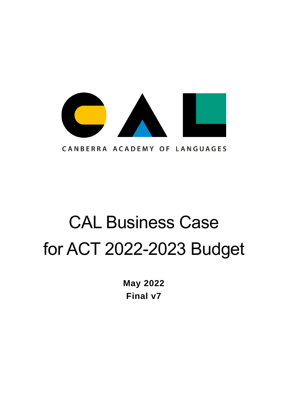

CANBERRA ACADEMY OF LANGUAGES

# CAL Business Case for ACT 2022-2023 Budget

**May 2022 Final v7**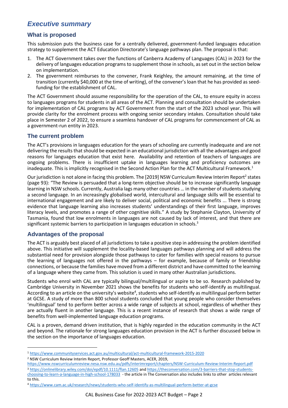# <span id="page-1-0"></span>*Executive summary*

## <span id="page-1-1"></span>**What is proposed**

This submission puts the business case for a centrally delivered, government-funded languages education strategy to supplement the ACT Education Directorate's language pathways plan. The proposal is that:

- 1. The ACT Government takes over the functions of Canberra Academy of Languages (CAL) in 2023 for the delivery of languages education programs to supplement those in schools, as set out in the section below on implementation.
- 2. The government reimburses to the convener, Frank Keighley, the amount remaining, at the time of transition (currently \$40,000 at the time of writing), of the convener's loan that he has provided as seedfunding for the establishment of CAL.

The ACT Government should assume responsibility for the operation of the CAL, to ensure equity in access to languages programs for students in all areas of the ACT. Planning and consultation should be undertaken for implementation of CAL programs by ACT Government from the start of the 2023 school year. This will provide clarity for the enrolment process with ongoing senior secondary intakes. Consultation should take place in Semester 2 of 2022, to ensure a seamless handover of CAL programs for commencement of CAL as a government-run entity in 2023.

## <span id="page-1-2"></span>**The current problem**

The ACT's provisions in languages education for the years of schooling are currently inadequate and are not delivering the results that should be expected in an educational jurisdiction with all the advantages and good reasons for languages education that exist here. Availability and retention of teachers of languages are ongoing problems. There is insufficient uptake in languages learning and proficiency outcomes are inadequate. This is implicitly recognised in the Second Action Plan for the ACT Multicultural Framework.<sup>1</sup>

Our jurisdiction is not alone in facing this problem. The [2019] NSW Curriculum Review Interim Report<sup>2</sup> states (page 93): "The Review is persuaded that a long-term objective should be to increase significantly language learning in NSW schools. Currently, Australia lags many other countries … in the number of students studying a second language. In an increasingly globalised world, intercultural and language skills will be essential to international engagement and are likely to deliver social, political and economic benefits ... There is strong evidence that language learning also increases students' understandings of their first language, improves literacy levels, and promotes a range of other cognitive skills." A study by Stephanie Clayton, University of Tasmania, found that low enrolments in languages are not caused by lack of interest, and that there are significant systemic barriers to participation in languages education in schools.<sup>3</sup>

## <span id="page-1-3"></span>**Advantages of the proposal**

The ACT is arguably best placed of all jurisdictions to take a positive step in addressing the problem identified above. This initiative will supplement the locality-based languages pathways planning and will address the substantial need for provision alongside those pathways to cater for families with special reasons to pursue the learning of languages not offered in the pathways – for example, because of family or friendship connections, or because the families have moved from a different district and have committed to the learning of a language where they came from. This solution is used in many other Australian jurisdictions.

Students who enrol with CAL are typically bilingual/multilingual or aspire to be so. Research published by Cambridge University in November 2021 shows the benefits for students who self-identify as multilingual. According to an article on the university's website<sup>4</sup>, students who self-identify as multilingual perform better at GCSE. A study of more than 800 school students concluded that young people who consider themselves 'multilingual' tend to perform better across a wide range of subjects at school, regardless of whether they are actually fluent in another language. This is a recent instance of research that shows a wide range of benefits from well-implemented language education programs.

CAL is a proven, demand driven institution, that is highly regarded in the education community in the ACT and beyond. The rationale for strong languages education provision in the ACT is further discussed below in the section on the importance of languages education.

<https://www.nswcurriculumreview.nesa.nsw.edu.au/pdfs/interimreport/chapters/NSW-Curriculum-Review-Interim-Report.pdf> <sup>3</sup> <https://onlinelibrary.wiley.com/doi/epdf/10.1111/flan.12605> and [https://theconversation.com/3-barriers-that-stop-students-](https://theconversation.com/3-barriers-that-stop-students-choosing-to-learn-a-language-in-high-school-178033)

<sup>1</sup> <https://www.communityservices.act.gov.au/multicultural/act-multicultural-framework-2015-2020>

<sup>2</sup> NSW Curriculum Review Interim Report, Professor Geoff Masters, ACER, 2019,

[choosing-to-learn-a-language-in-high-school-178033](https://theconversation.com/3-barriers-that-stop-students-choosing-to-learn-a-language-in-high-school-178033) - the article in The Conversation also includes links to other articles relevant to this.

<sup>4</sup> <https://www.cam.ac.uk/research/news/students-who-self-identify-as-multilingual-perform-better-at-gcse>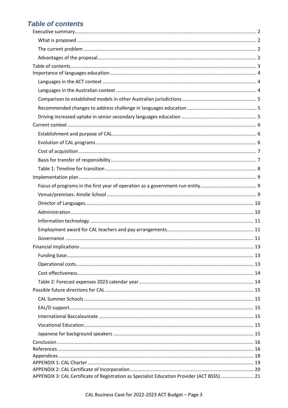# <span id="page-2-0"></span>**Table of contents**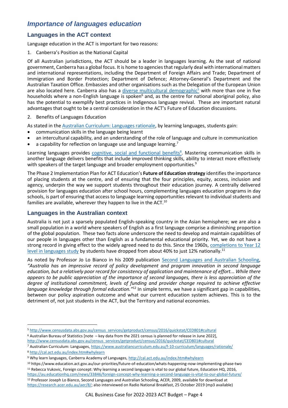# <span id="page-3-0"></span>*Importance of languages education*

## <span id="page-3-1"></span>**Languages in the ACT context**

Language education in the ACT is important for two reasons:

1. Canberra's Position as the National Capital

Of all Australian jurisdictions, the ACT should be a leader in languages learning. As the seat of national government, Canberra has a global focus. It is home to agencies that regularly deal with international matters and international representations, including the Department of Foreign Affairs and Trade; Department of Immigration and Border Protection; Department of Defence; Attorney-General's Department and the Australian Taxation Office. Embassies and other organisations such as the Delegation of the European Union are also located here. Canberra also has a [diverse multicultural demographic](http://www.censusdata.abs.gov.au/census_services/getproduct/census/2016/quickstat/CED801#cultural)<sup>5</sup> with more than one in five households where a non-English language is spoken<sup>6</sup> and, as the centre for national aboriginal policy, also has the potential to exemplify best practices in Indigenous language revival. These are important natural advantages that ought to be a central consideration in the ACT's Future of Education discussions.

2. Benefits of Languages Education

As stated in th[e Australian Curriculum: Languages rationale,](https://www.australiancurriculum.edu.au/f-10-curriculum/languages/rationale/) by learning languages, students gain:

- communication skills in the language being learnt
- an intercultural capability, and an understanding of the role of language and culture in communication
- a capability for reflection on language use and language learning.<sup>7</sup>

Learning languages provides [cognitive, social and functional benefits](http://cal.act.edu.au/index.htm#whylearn)<sup>8</sup>. Mastering communication skills in another language delivers benefits that include improved thinking skills, ability to interact more effectively with speakers of the target language and broader employment opportunities*.* 9

The Phase 2 Implementation Plan for ACT Education's **Future of Education strategy** identifies the importance of placing students at the centre, and of ensuring that the four principles, equity, access, inclusion and agency, underpin the way we support students throughout their education journey. A centrally delivered provision for languages education after school hours, complementing languages education programs in day schools, is part of ensuring that access to language learning opportunities relevant to individual students and families are available, wherever they happen to live in the ACT. $^{10}$ 

## <span id="page-3-2"></span>**Languages in the Australian context**

Australia is not just a sparsely populated English-speaking country in the Asian hemisphere; we are also a small population in a world where speakers of English as a first language comprise a diminishing proportion of the global population. These two facts alone underscore the need to develop and maintain capabilities of our people in languages other than English as a fundamental educational priority. Yet, we do not have a strong record in giving effect to the widely agreed need to do this. Since the 1960s, [completions to Year 12](https://au.educationhq.com/news/33846/foreign-concept-why-learning-a-second-language-is-vital-to-our-global-future/)  [level in languages study](https://au.educationhq.com/news/33846/foreign-concept-why-learning-a-second-language-is-vital-to-our-global-future/) by students have dropped from about 40% to just 12% nationally.<sup>11</sup>

As noted by Professor Jo Lo Bianco in his 2009 publication [Second Languages and Australian Schooling,](https://research.acer.edu.au/aer/8/) *"Australia has an impressive record of policy development and program innovation in second language education, but a relatively poor record for consistency of application and maintenance of effort... While there appears to be public appreciation of the importance of second languages, there is less appreciation of the degree of institutional commitment, levels of funding and provider change required to achieve effective language knowledge through formal education."*<sup>12</sup> In simple terms, we have a significant gap in capabilities, between our policy aspiration outcome and what our current education system achieves. This is to the detriment of, not just students in the ACT, but the Territory and national economies.

[http://www.censusdata.abs.gov.au/census\\_services/getproduct/census/2016/quickstat/CED801#cultural](http://www.censusdata.abs.gov.au/census_services/getproduct/census/2016/quickstat/CED801#cultural)

<sup>8</sup> <http://cal.act.edu.au/index.htm#whylearn>

<sup>10</sup> https://www.education.act.gov.au/our-priorities/future-of-education/whats-happening-now-implementing-phase-two <sup>11</sup> Rebecca Vukovic, Foreign concept: Why learning a second language is vital to our global future, Education HQ, 2016,

<https://au.educationhq.com/news/33846/foreign-concept-why-learning-a-second-language-is-vital-to-our-global-future/> <sup>12</sup> Professor Joseph Lo Bianco, Second Languages and Australian Schooling, ACER, 2009, available for download at

<sup>5</sup> [http://www.censusdata.abs.gov.au/census\\_services/getproduct/census/2016/quickstat/CED801#cultural](http://www.censusdata.abs.gov.au/census_services/getproduct/census/2016/quickstat/CED801#cultural)

<sup>6</sup> Australian Bureau of Statistics [note – key data from the 2021 census is planned for release in June 2022],

<sup>7</sup> Australian Curriculum: Languages[, https://www.australiancurriculum.edu.au/f-10-curriculum/languages/rationale/](https://www.australiancurriculum.edu.au/f-10-curriculum/languages/rationale/)

<sup>9</sup> Why learn languages, Canberra Academy of Languages,<http://cal.act.edu.au/index.htm#whylearn>

[https://research.acer.edu.au/aer/8/;](https://research.acer.edu.au/aer/8/) also interviewed on Radio National Breakfast, 25 October 2019 (mp3 available)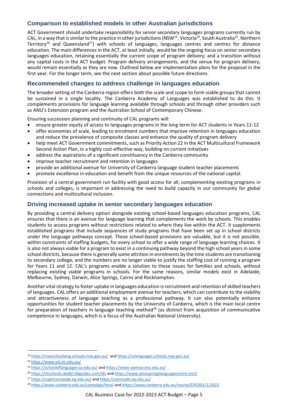## <span id="page-4-0"></span>**Comparison to established models in other Australian jurisdictions**

ACT Government should undertake responsibility for senior secondary languages programs currently run by CAL, in a way that is similar to the practice in other jurisdictions (NSW<sup>13</sup>, Victoria<sup>14</sup>, South Australia<sup>15</sup>, Northern Territory<sup>16</sup> and Queensland<sup>17</sup>) with schools of languages, languages centres and centres for distance education. The main differences in the ACT, at least initially, would be the ongoing focus on senior secondary languages education, retaining essentially the current scope of program delivery; and a transition without any capital costs in the ACT budget. Program delivery arrangements, and the venue for program delivery, would remain essentially as they are now. Outlined below are implementation plans for the proposal in the first year. For the longer term, see the next section about possible future directions.

## <span id="page-4-1"></span>**Recommended changes to address challenge in languages education**

The broader setting of the Canberra region offers both the scale and scope to form viable groups that cannot be sustained in a single locality. The Canberra Academy of Languages was established to do this. It complements provisions for language learning available through schools and through other providers such as ANU's Extension program and the Australian School of Contemporary Chinese.

Ensuring succession planning and continuity of CAL programs will:

- ensure greater equity of access to languages programs in the long term for ACT students in Years 11-12
- offer economies of scale, leading to enrolment numbers that improve retention in languages education and reduce the prevalence of composite classes and enhance the quality of program delivery
- help meet ACT Government commitments, such as Priority Action 22 in the ACT Multicultural Framework Second Action Plan, in a highly cost-effective way, building on current initiatives
- address the aspirations of a significant constituency in the Canberra community
- improve teacher recruitment and retention in languages
- provide an additional avenue for University of Canberra language student teacher placements
- promote excellence in education and benefit from the unique resources of the national capital.

Provision of a central government run facility with good access for all, complementing existing programs in schools and colleges, is important in addressing the need to build capacity in our community for global connections and multicultural inclusion.

#### <span id="page-4-2"></span>**Driving increased uptake in senior secondary languages education**

By providing a central delivery option alongside existing school-based languages education programs, CAL ensures that there is an avenue for language learning that complements the work by schools. This enables students to access programs without restrictions related to where they live within the ACT. It supplements established programs that include sequences of study programs that have been set up in school districts under the language pathways concept. These school-based provisions are valuable, but it is not possible, within constraints of staffing budgets, for every school to offer a wide range of language learning choices. It is also not always viable for a program to exist in a continuing pathway beyond the high school years in some school districts, because there is generally some attrition in enrolments by the time students are transitioning to secondary college, and the numbers are no longer viable to justify the staffing cost of running a program for Years 11 and 12. CAL's programs enable a solution to these issues for families and schools, without replacing existing viable programs in schools. For the same reasons, similar models exist in Adelaide, Melbourne, Sydney, Darwin, Alice Springs, Cairns and Rockhampton.

Another vital strategy to foster uptake in languages education is recruitment and retention of skilled teachers of languages. CAL offers an additional employment avenue for teachers, which can contribute to the viability and attractiveness of language teaching as a professional pathway. It can also potentially enhance opportunities for student teacher placements by the University of Canberra, which is the main local centre for preparation of teachers in language teaching method<sup>18</sup> (as distinct from acquisition of communicative competence in languages, which is a focus of the Australian National University).

<sup>13</sup> <https://nswschoollang.schools.nsw.gov.au/>and <https://sclanguages.schools.nsw.gov.au/>

<sup>14</sup> <https://www.vsl.vic.edu.au/>

<sup>15</sup> <https://schooloflanguages.sa.edu.au/> and <https://www.openaccess.edu.au/>

<sup>16</sup> <https://ntschools-dedlcl.libguides.com/dlc> and <https://www.alicespringslanguagecentre.com/>

<sup>17</sup> <https://capricorniasde.eq.edu.au/> and <https://cairnssde.eq.edu.au/>

<sup>18</sup> <https://www.canberra.edu.au/campaign/tesol> and <https://www.canberra.edu.au/course/EDG301/1/2022>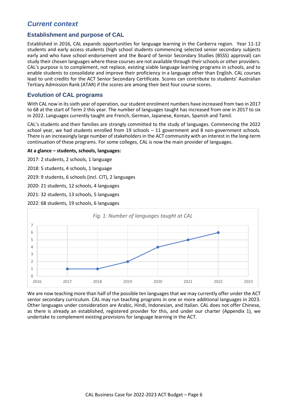## <span id="page-5-0"></span>*Current context*

#### <span id="page-5-1"></span>**Establishment and purpose of CAL**

Established in 2016, CAL expands opportunities for language learning in the Canberra region. Year 11-12 students and early access students (high school students commencing selected senior secondary subjects early and who have school endorsement and the Board of Senior Secondary Studies (BSSS) approval) can study their chosen languages where these courses are not available through their schools or other providers. CAL's purpose is to complement, not replace, existing viable language learning programs in schools, and to enable students to consolidate and improve their proficiency in a language other than English. CAL courses lead to unit credits for the ACT Senior Secondary Certificate. Scores can contribute to students' Australian Tertiary Admission Rank (ATAR) if the scores are among their best four course scores.

#### <span id="page-5-2"></span>**Evolution of CAL programs**

With CAL now in its sixth year of operation, ourstudent enrolment numbers have increased from two in 2017 to 68 at the start of Term 2 this year. The number of languages taught has increased from one in 2017 to six in 2022. Languages currently taught are French, German, Japanese, Korean, Spanish and Tamil.

CAL's students and their families are strongly committed to the study of languages. Commencing the 2022 school year, we had students enrolled from 19 schools – 11 government and 8 non-government schools. There is an increasingly large number of stakeholders in the ACT community with an interest in the long-term continuation of these programs. For some colleges, CAL is now the main provider of languages.

**At a glance – students, schools, languages:**

2017: 2 students, 2 schools, 1 language

2018: 5 students, 4 schools, 1 language

2019: 9 students, 6 schools (incl. CIT), 2 languages

2020: 21 students, 12 schools, 4 languages

2021: 32 students, 13 schools, 5 languages

2022: 68 students, 19 schools, 6 languages



We are now teaching more than half of the possible ten languages that we may currently offer under the ACT senior secondary curriculum. CAL may run teaching programs in one or more additional languages in 2023. Other languages under consideration are Arabic, Hindi, Indonesian, and Italian. CAL does not offer Chinese, as there is already an established, registered provider for this, and under our charter (Appendix 1), we undertake to complement existing provisions for language learning in the ACT.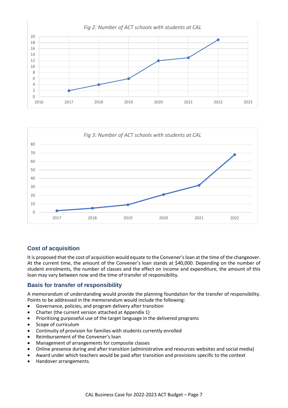



## <span id="page-6-0"></span>**Cost of acquisition**

It is proposed that the cost of acquisition would equate to the Convener's loan at the time of the changeover. At the current time, the amount of the Convener's loan stands at \$40,000. Depending on the number of student enrolments, the number of classes and the effect on income and expenditure, the amount of this loan may vary between now and the time of transfer of responsibility.

## <span id="page-6-1"></span>**Basis for transfer of responsibility**

A memorandum of understanding would provide the planning foundation for the transfer of responsibility. Points to be addressed in the memorandum would include the following:

- Governance, policies, and program delivery after transition
- Charter (the current version attached at Appendix 1)
- Prioritising purposeful use of the target language in the delivered programs
- Scope of curriculum
- Continuity of provision for families with students currently enrolled
- Reimbursement of the Convener's loan
- Management of arrangements for composite classes
- Online presence during and after transition (administrative and resources websites and social media)
- Award under which teachers would be paid after transition and provisions specific to the context
- Handover arrangements.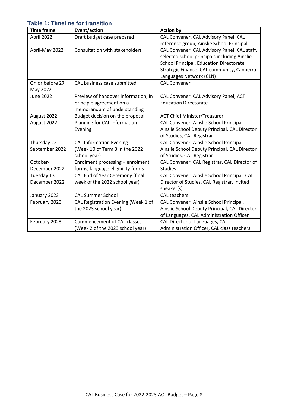## <span id="page-7-0"></span>**Table 1: Timeline for transition**

| <b>Time frame</b> | Event/action                        | <b>Action by</b>                              |  |  |
|-------------------|-------------------------------------|-----------------------------------------------|--|--|
| April 2022        | Draft budget case prepared          | CAL Convener, CAL Advisory Panel, CAL         |  |  |
|                   |                                     | reference group, Ainslie School Principal     |  |  |
| April-May 2022    | Consultation with stakeholders      | CAL Convener, CAL Advisory Panel, CAL staff,  |  |  |
|                   |                                     | selected school principals including Ainslie  |  |  |
|                   |                                     | School Principal, Education Directorate       |  |  |
|                   |                                     | Strategic Finance, CAL community, Canberra    |  |  |
|                   |                                     | Languages Network (CLN)                       |  |  |
| On or before 27   | CAL business case submitted         | <b>CAL Convener</b>                           |  |  |
| May 2022          |                                     |                                               |  |  |
| <b>June 2022</b>  | Preview of handover information, in | CAL Convener, CAL Advisory Panel, ACT         |  |  |
|                   | principle agreement on a            | <b>Education Directorate</b>                  |  |  |
|                   | memorandum of understanding         |                                               |  |  |
| August 2022       | Budget decision on the proposal     | <b>ACT Chief Minister/Treasurer</b>           |  |  |
| August 2022       | Planning for CAL Information        | CAL Convener, Ainslie School Principal,       |  |  |
|                   | Evening                             | Ainslie School Deputy Principal, CAL Director |  |  |
|                   |                                     | of Studies, CAL Registrar                     |  |  |
| Thursday 22       | <b>CAL Information Evening</b>      | CAL Convener, Ainslie School Principal,       |  |  |
| September 2022    | (Week 10 of Term 3 in the 2022      | Ainslie School Deputy Principal, CAL Director |  |  |
|                   | school year)                        | of Studies, CAL Registrar                     |  |  |
| October-          | Enrolment processing - enrolment    | CAL Convener, CAL Registrar, CAL Director of  |  |  |
| December 2022     | forms, language eligibility forms   | <b>Studies</b>                                |  |  |
| Tuesday 13        | CAL End of Year Ceremony (final     | CAL Convener, Ainslie School Principal, CAL   |  |  |
| December 2022     | week of the 2022 school year)       | Director of Studies, CAL Registrar, invited   |  |  |
|                   |                                     | speaker(s)                                    |  |  |
| January 2023      | <b>CAL Summer School</b>            | <b>CAL teachers</b>                           |  |  |
| February 2023     | CAL Registration Evening (Week 1 of | CAL Convener, Ainslie School Principal,       |  |  |
|                   | the 2023 school year)               | Ainslie School Deputy Principal, CAL Director |  |  |
|                   |                                     | of Languages, CAL Administration Officer      |  |  |
| February 2023     | Commencement of CAL classes         | CAL Director of Languages, CAL                |  |  |
|                   | (Week 2 of the 2023 school year)    | Administration Officer, CAL class teachers    |  |  |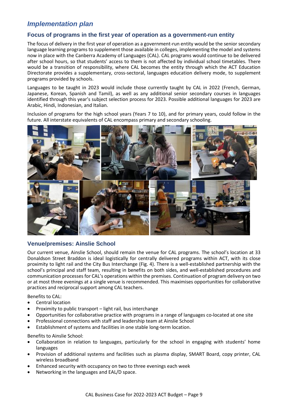# <span id="page-8-0"></span>*Implementation plan*

#### <span id="page-8-1"></span>**Focus of programs in the first year of operation as a government-run entity**

The focus of delivery in the first year of operation as a government-run entity would be the senior secondary language learning programs to supplement those available in colleges, implementing the model and systems now in place with the Canberra Academy of Languages (CAL). CAL programs would continue to be delivered after school hours, so that students' access to them is not affected by individual school timetables. There would be a transition of responsibility, where CAL becomes the entity through which the ACT Education Directorate provides a supplementary, cross-sectoral, languages education delivery mode, to supplement programs provided by schools.

Languages to be taught in 2023 would include those currently taught by CAL in 2022 (French, German, Japanese, Korean, Spanish and Tamil), as well as any additional senior secondary courses in languages identified through this year's subject selection process for 2023. Possible additional languages for 2023 are Arabic, Hindi, Indonesian, and Italian.

Inclusion of programs for the high school years (Years 7 to 10), and for primary years, could follow in the future. All interstate equivalents of CAL encompass primary and secondary schooling.



#### <span id="page-8-2"></span>**Venue/premises: Ainslie School**

Our current venue, Ainslie School, should remain the venue for CAL programs. The school's location at 33 Donaldson Street Braddon is ideal logistically for centrally delivered programs within ACT, with its close proximity to light rail and the City Bus Interchange (Fig. 4). There is a well-established partnership with the school's principal and staff team, resulting in benefits on both sides, and well-established procedures and communication processes for CAL's operations within the premises. Continuation of program delivery on two or at most three evenings at a single venue is recommended. This maximises opportunities for collaborative practices and reciprocal support among CAL teachers.

Benefits to CAL:

- Central location
- Proximity to public transport light rail, bus interchange
- Opportunities for collaborative practice with programs in a range of languages co-located at one site
- Professional connections with staff and leadership team at Ainslie School
- Establishment of systems and facilities in one stable long-term location.

Benefits to Ainslie School:

- Collaboration in relation to languages, particularly for the school in engaging with students' home languages
- Provision of additional systems and facilities such as plasma display, SMART Board, copy printer, CAL wireless broadband
- Enhanced security with occupancy on two to three evenings each week
- Networking in the languages and EAL/D space.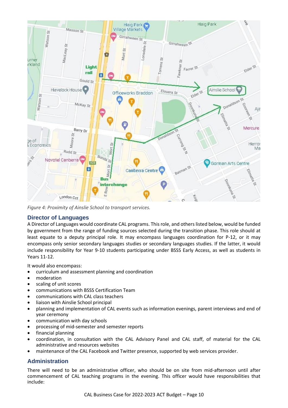

*Figure 4: Proximity of Ainslie School to transport services.*

## <span id="page-9-0"></span>**Director of Languages**

A Director of Languages would coordinate CAL programs. This role, and others listed below, would be funded by government from the range of funding sources selected during the transition phase. This role should at least equate to a deputy principal role. It may encompass languages coordination for P-12, or it may encompass only senior secondary languages studies or secondary languages studies. If the latter, it would include responsibility for Year 9-10 students participating under BSSS Early Access, as well as students in Years 11-12.

It would also encompass:

- curriculum and assessment planning and coordination
- moderation
- scaling of unit scores
- communications with BSSS Certification Team
- communications with CAL class teachers
- liaison with Ainslie School principal
- planning and implementation of CAL events such as information evenings, parent interviews and end of year ceremony
- communication with day schools
- processing of mid-semester and semester reports
- financial planning
- coordination, in consultation with the CAL Advisory Panel and CAL staff, of material for the CAL administrative and resources websites
- maintenance of the CAL Facebook and Twitter presence, supported by web services provider.

## <span id="page-9-1"></span>**Administration**

There will need to be an administrative officer, who should be on site from mid-afternoon until after commencement of CAL teaching programs in the evening. This officer would have responsibilities that include: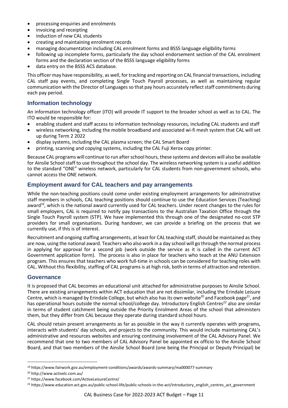- processing enquiries and enrolments
- invoicing and receipting
- induction of new CAL students
- creating and maintaining enrolment records
- managing documentation including CAL enrolment forms and BSSS language eligibility forms
- following up incomplete forms, particularly the day school endorsement section of the CAL enrolment forms and the declaration section of the BSSS language eligibility forms
- data entry on the BSSS ACS database.

This officer may have responsibility, as well, for tracking and reporting on CAL financial transactions, including CAL staff pay events, and completing Single Touch Payroll processes, as well as maintaining regular communication with the Director of Languages so that pay hours accurately reflect staff commitments during each pay period.

## <span id="page-10-0"></span>**Information technology**

An information technology officer (ITO) will provide IT support to the broader school as well as to CAL. The ITO would be responsible for:

- enabling student and staff access to information technology resources, including CAL students and staff
- wireless networking, including the mobile broadband and associated wi-fi mesh system that CAL will set up during Term 2 2022
- display systems, including the CAL plasma screen; the CAL Smart Board
- printing, scanning and copying systems, including the CAL Fuji Xerox copy printer.

Because CAL programs will continue to run after school hours, these systems and devices will also be available for Ainslie School staff to use throughout the school day. The wireless networking system is a useful addition to the standard "ONE" wireless network, particularly for CAL students from non-government schools, who cannot access the ONE network.

## <span id="page-10-1"></span>**Employment award for CAL teachers and pay arrangements**

While the non-teaching positions could come under existing employment arrangements for administrative staff members in schools, CAL teaching positions should continue to use the Education Services (Teaching) award<sup>19</sup>, which is the national award currently used for CAL teachers. Under recent changes to the rules for small employers, CAL is required to notify pay transactions to the Australian Taxation Office through the Single Touch Payroll system (STP). We have implemented this through one of the designated no-cost STP providers for small organisations. During handover, we can provide a briefing on the process that we currently use, if this is of interest.

Recruitment and ongoing staffing arrangements, at least for CAL teaching staff, should be maintained as they are now, using the national award. Teachers who also work in a day school will go through the normal process in applying for approval for a second job (work outside the service as it is called in the current ACT Government application form). The process is also in place for teachers who teach at the ANU Extension program. This ensures that teachers who work full-time in schools can be considered for teaching roles with CAL. Without this flexibility, staffing of CAL programs is at high risk, both in terms of attraction and retention.

#### <span id="page-10-2"></span>**Governance**

It is proposed that CAL becomes an educational unit attached for administrative purposes to Ainslie School. There are existing arrangements within ACT education that are not dissimilar, including the Erindale Leisure Centre, which is managed by Erindale College, but which also has its own website<sup>20</sup> and Facebook page<sup>21</sup>, and has operational hours outside the normal school/college day. Introductory English Centres<sup>22</sup> also are similar in terms of student catchment being outside the Priority Enrolment Areas of the school that administers them, but they differ from CAL because they operate during standard school hours.

CAL should retain present arrangements as far as possible in the way it currently operates with programs, interacts with students' day schools, and projects to the community. This would include maintaining CAL's administrative and resources websites and ensuring continuing involvement of the CAL Advisory Panel. We recommend that one to two members of CAL Advisory Panel be appointed ex officio to the Ainslie School Board, and that two members of the Ainslie School Board (one being the Principal or Deputy Principal) be

<sup>19</sup> https://www.fairwork.gov.au/employment-conditions/awards/awards-summary/ma000077-summary

<sup>20</sup> http://www.activelc.com.au/

<sup>21</sup> https://www.facebook.com/ActiveLeisureCentre/

<sup>&</sup>lt;sup>22</sup> https://www.education.act.gov.au/public-school-life/public-schools-in-the-act/introductory\_english\_centres\_act\_government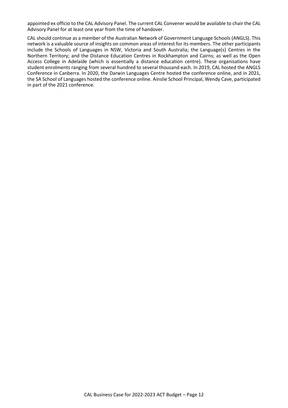appointed ex officio to the CAL Advisory Panel. The current CAL Convener would be available to chair the CAL Advisory Panel for at least one year from the time of handover.

CAL should continue as a member of the Australian Network of Government Language Schools (ANGLS). This network is a valuable source of insights on common areas of interest for its members. The other participants include the Schools of Languages in NSW, Victoria and South Australia; the Language(s) Centres in the Northern Territory; and the Distance Education Centres in Rockhampton and Cairns; as well as the Open Access College in Adelaide (which is essentially a distance education centre). These organisations have student enrolments ranging from several hundred to several thousand each. In 2019, CAL hosted the ANGLS Conference in Canberra. In 2020, the Darwin Languages Centre hosted the conference online, and in 2021, the SA School of Languages hosted the conference online. Ainslie School Principal, Wendy Cave, participated in part of the 2021 conference.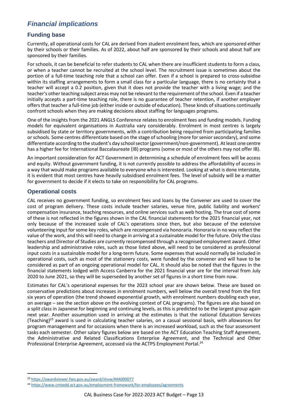# <span id="page-12-0"></span>*Financial implications*

## <span id="page-12-1"></span>**Funding base**

Currently, all operational costs for CAL are derived from student enrolment fees, which are sponsored either by their schools or their families. As of 2022, about half are sponsored by their schools and about half are sponsored by their families.

For schools, it can be beneficial to refer students to CAL when there are insufficient students to form a class, or when a teacher cannot be recruited at the school level. The recruitment issue is sometimes about the portion of a full-time teaching role that a school can offer. Even if a school is prepared to cross-subsidise within its staffing arrangements to form a small class for a particular language, there is no certainty that a teacher will accept a 0.2 position, given that it does not provide the teacher with a living wage; and the teacher's other teaching subject areas may not be relevant to the requirement of the school. Even if a teacher initially accepts a part-time teaching role, there is no guarantee of teacher retention, if another employer offers that teacher a full-time job (either inside or outside of education). These kinds of situations continually confront schools when they are making decisions about staffing for languages programs.

One of the insights from the 2021 ANGLS Conference relates to enrolment fees and funding models. Funding models for equivalent organisations in Australia vary considerably. Enrolment in most centres is largely subsidised by state or territory governments, with a contribution being required from participating families orschools. Some centres differentiate based on the stage of schooling (more for senior secondary), and some differentiate according to the student's day school sector (government/non-government). At least one centre has a higher fee for International Baccalaureate (IB) programs (some or most of the others may not offer IB).

An important consideration for ACT Government in determining a schedule of enrolment fees will be access and equity. Without government funding, it is not currently possible to address the affordability of access in a way that would make programs available to everyone who is interested. Looking at what is done interstate, it is evident that most centres have heavily subsidised enrolment fees. The level of subsidy will be a matter for government to decide if it elects to take on responsibility for CAL programs.

## <span id="page-12-2"></span>**Operational costs**

CAL receives no government funding, so enrolment fees and loans by the Convener are used to cover the cost of program delivery. These costs include teacher salaries, venue hire, public liability and workers' compensation insurance, teaching resources, and online services such as web hosting. The true cost of some of these is not reflected in the figures shown in the CAL financial statements for the 2021 financial year, not only because of the increased scale of CAL's operations since then, but also because of the extensive volunteering input for some key roles, which are recompensed via honoraria. Honoraria in no way reflect the value of the work, and this will need to change in arriving at a sustainable model for the future. Only the class teachers and Director of Studies are currently recompensed through a recognised employment award. Other leadership and administrative roles, such as those listed above, will need to be considered as professional input costs in a sustainable model for a long-term future. Some expenses that would normally be included in operational costs, such as most of the stationery costs, were funded by the convener and will have to be considered as part of an ongoing operational model for CAL. It should also be noted that the figures in the financial statements lodged with Access Canberra for the 2021 financial year are for the interval from July 2020 to June 2021, so they will be superseded by another set of figures in a short time from now.

Estimates for CAL's operational expenses for the 2023 school year are shown below. These are based on conservative predictions about increases in enrolment numbers, well below the overall trend from the first six years of operation (the trend showed exponential growth, with enrolment numbers doubling each year, on average – see the section above on the evolving context of CAL programs). The figures are also based on a split class in Japanese for beginning and continuing levels, as this is predicted to be the largest group again next year. Another assumption used in arriving at the estimates is that the national Education Services (Teaching)<sup>23</sup> award is used in calculating teacher salaries, on a casual sessional basis, with allowances for program management and for occasions when there is an increased workload, such as the four assessment tasks each semester. Other salary figures below are based on the ACT Education Teaching Staff Agreement, the Administrative and Related Classifications Enterprise Agreement, and the Technical and Other Professional Enterprise Agreement, accessed via the ACTPS Employment Portal.<sup>24</sup>

<sup>23</sup> <https://awardviewer.fwo.gov.au/award/show/MA000077>

<sup>24</sup> <https://www.cmtedd.act.gov.au/employment-framework/for-employees/agreements>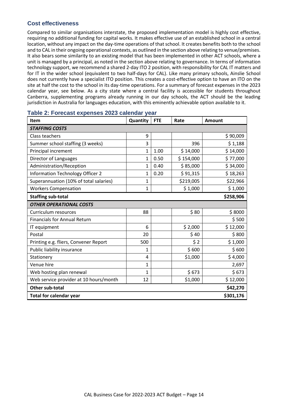## <span id="page-13-0"></span>**Cost effectiveness**

Compared to similar organisations interstate, the proposed implementation model is highly cost effective, requiring no additional funding for capital works. It makes effective use of an established school in a central location, without any impact on the day-time operations of that school. It creates benefits both to the school and to CAL in their ongoing operational contexts, as outlined in the section above relating to venue/premises. It also bears some similarity to an existing model that has been implemented in other ACT schools, where a unit is managed by a principal, as noted in the section above relating to governance. In terms of information technology support, we recommend a shared 2-day ITO 2 position, with responsibility for CAL IT matters and for IT in the wider school (equivalent to two half-days for CAL). Like many primary schools, Ainslie School does not currently have a specialist ITO position. This creates a cost-effective option to have an ITO on the site at half the cost to the school in its day-time operations. For a summary of forecast expenses in the 2023 calendar year, see below. As a city state where a central facility is accessible for students throughout Canberra, supplementing programs already running in our day schools, the ACT should be the leading jurisdiction in Australia for languages education, with this eminently achievable option available to it.

| Item                                        | Quantity | <b>FTE</b> | Rate      | <b>Amount</b> |  |  |  |
|---------------------------------------------|----------|------------|-----------|---------------|--|--|--|
| <b>STAFFING COSTS</b>                       |          |            |           |               |  |  |  |
| Class teachers                              | 9        |            |           | \$90,009      |  |  |  |
| Summer school staffing (3 weeks)            | 3        |            | 396       | \$1,188       |  |  |  |
| Principal increment                         | 1        | 1.00       | \$14,000  | \$14,000      |  |  |  |
| <b>Director of Languages</b>                | 1        | 0.50       | \$154,000 | \$77,000      |  |  |  |
| Administration/Reception                    | 1        | 0.40       | \$85,000  | \$34,000      |  |  |  |
| Information Technology Officer 2            | 1        | 0.20       | \$91,315  | \$18,263      |  |  |  |
| Superannuation (10% of total salaries)      | 1        |            | \$219,005 | \$22,966      |  |  |  |
| <b>Workers Compensation</b>                 | 1        |            | \$1,000   | \$1,000       |  |  |  |
| \$258,906<br><b>Staffing sub-total</b>      |          |            |           |               |  |  |  |
| <b>OTHER OPERATIONAL COSTS</b>              |          |            |           |               |  |  |  |
| Curriculum resources                        | 88       |            | \$80      | \$8000        |  |  |  |
| <b>Financials for Annual Return</b>         |          |            |           | \$500         |  |  |  |
| IT equipment                                | 6        |            | \$2,000   | \$12,000      |  |  |  |
| Postal                                      | 20       |            | \$40      | \$800         |  |  |  |
| Printing e.g. fliers, Convener Report       | 500      |            | \$2       | \$1,000       |  |  |  |
| Public liability insurance                  | 1        |            | \$600     | \$600         |  |  |  |
| Stationery                                  | 4        |            | \$1,000   | \$4,000       |  |  |  |
| Venue hire                                  | 1        |            |           | 2,697         |  |  |  |
| Web hosting plan renewal                    | 1        |            | \$673     | \$673         |  |  |  |
| Web service provider at 10 hours/month      | 12       |            | \$1,000   | \$12,000      |  |  |  |
| <b>Other sub-total</b><br>\$42,270          |          |            |           |               |  |  |  |
| <b>Total for calendar year</b><br>\$301,176 |          |            |           |               |  |  |  |

#### <span id="page-13-1"></span>**Table 2: Forecast expenses 2023 calendar year**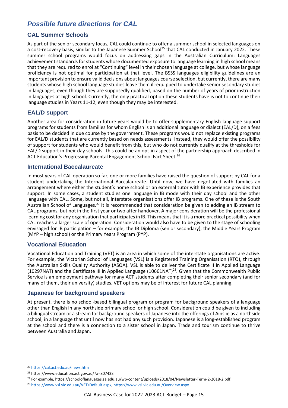# <span id="page-14-0"></span>*Possible future directions for CAL*

## <span id="page-14-1"></span>**CAL Summer Schools**

As part of the senior secondary focus, CAL could continue to offer a summer school in selected languages on a cost-recovery basis, similar to the Japanese Summer School<sup>25</sup> that CAL conducted in January 2022. These summer school programs would focus on addressing gaps in the Australian Curriculum: Languages achievement standards for students whose documented exposure to language learning in high school means that they are required to enrol at "Continuing" level in their chosen language at college, but whose language proficiency is not optimal for participation at that level. The BSSS languages eligibility guidelines are an important provision to ensure valid decisions about languages course selection, but currently, there are many students whose high school language studies leave them ill-equipped to undertake senior secondary studies in languages, even though they are supposedly qualified, based on the number of years of prior instruction in languages at high school. Currently, the only practical option these students have is not to continue their language studies in Years 11-12, even though they may be interested.

## <span id="page-14-2"></span>**EAL/D support**

Another area for consideration in future years would be to offer supplementary English language support programs for students from families for whom English is an additional language or dialect (EAL/D), on a fees basis to be decided in due course by the government. These programs would not replace existing programs for EAL/D students that are currently based on needs assessments. Instead, they would offer the possibility of support for students who would benefit from this, but who do not currently qualify at the thresholds for EAL/D support in their day schools. This could be an opt-in aspect of the partnership approach described in ACT Education's Progressing Parental Engagement School Fact Sheet.<sup>26</sup>

#### <span id="page-14-3"></span>**International Baccalaureate**

In most years of CAL operation so far, one or more families have raised the question of support by CAL for a student undertaking the International Baccalaureate. Until now, we have negotiated with families an arrangement where either the student's home school or an external tutor with IB experience provides that support. In some cases, a student studies one language in IB mode with their day school and the other language with CAL. Some, but not all, interstate organisations offer IB programs. One of these is the South Australian School of Languages.<sup>27</sup> It is recommended that consideration be given to adding an IB stream to CAL programs, but not in the first year or two after handover. A major consideration will be the professional learning cost for any organisation that participates in IB. This means that it is a more practical possibility when CAL reaches a larger scale of operation. Consideration would also have to be given to the stage of schooling envisaged for IB participation – for example, the IB Diploma (senior secondary), the Middle Years Program (MYP – high school) or the Primary Years Program (PYP).

#### <span id="page-14-4"></span>**Vocational Education**

Vocational Education and Training (VET) is an area in which some of the interstate organisations are active. For example, the Victorian School of Languages (VSL) is a Registered Training Organisation (RTO), through the Australian Skills Quality Authority (ASQA). VSL is able to deliver the Certificate II in Applied Language (10297NAT) and the Certificate III in Applied Language (10661NAT)<sup>28</sup>. Given that the Commonwealth Public Service is an employment pathway for many ACT students after completing their senior secondary (and for many of them, their university) studies, VET options may be of interest for future CAL planning.

#### <span id="page-14-5"></span>**Japanese for background speakers**

At present, there is no school-based bilingual program or program for background speakers of a language other than English in any northside primary school or high school. Consideration could be given to including a bilingual stream or a stream for background speakers of Japanese into the offerings of Ainslie as a northside school, in a language that until now has not had any such provision. Japanese is a long-established program at the school and there is a connection to a sister school in Japan. Trade and tourism continue to thrive between Australia and Japan.

<sup>25</sup> <https://cal.act.edu.au/news.htm>

<sup>26</sup> https://www.education.act.gov.au/?a=807433

<sup>27</sup> For example, https://schooloflanguages.sa.edu.au/wp-content/uploads/2018/04/Newsletter-Term-2-2018-2.pdf.

<sup>28</sup> [https://www.vsl.vic.edu.au/VET/Default.aspx,](https://www.vsl.vic.edu.au/VET/Default.aspx)<https://www.vsl.vic.edu.au/Overview.aspx>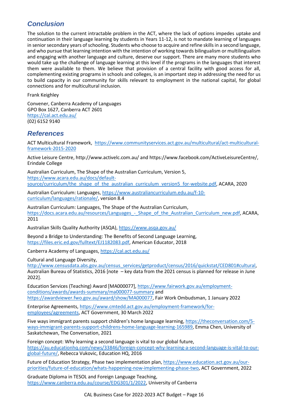# <span id="page-15-0"></span>*Conclusion*

The solution to the current intractable problem in the ACT, where the lack of options impedes uptake and continuation in their language learning by students in Years 11-12, is not to mandate learning of languages in senior secondary years of schooling. Students who choose to acquire and refine skills in a second language, and who pursue that learning intention with the intention of working towards bilingualism or multilingualism and engaging with another language and culture, deserve our support. There are many more students who would take up the challenge of language learning at this level if the programs in the languages that interest them were available to them. We believe that provision of a central facility with good access for all, complementing existing programs in schools and colleges, is an important step in addressing the need for us to build capacity in our community for skills relevant to employment in the national capital, for global connections and for multicultural inclusion.

Frank Keighley

Convener, Canberra Academy of Languages GPO Box 1627, Canberra ACT 2601 <https://cal.act.edu.au/> (02) 6152 9140

# <span id="page-15-1"></span>*References*

ACT Multicultural Framework, [https://www.communityservices.act.gov.au/multicultural/act-multicultural](https://www.communityservices.act.gov.au/multicultural/act-multicultural-framework-2015-2020)[framework-2015-2020](https://www.communityservices.act.gov.au/multicultural/act-multicultural-framework-2015-2020)

Active Leisure Centre, http://www.activelc.com.au/ and https://www.facebook.com/ActiveLeisureCentre/, Erindale College

Australian Curriculum, The Shape of the Australian Curriculum, Version 5, [https://www.acara.edu.au/docs/default](https://www.acara.edu.au/docs/default-source/curriculum/the_shape_of_the_australian_curriculum_version5_for-website.pdf)[source/curriculum/the\\_shape\\_of\\_the\\_australian\\_curriculum\\_version5\\_for-website.pdf,](https://www.acara.edu.au/docs/default-source/curriculum/the_shape_of_the_australian_curriculum_version5_for-website.pdf) ACARA, 2020

Australian Curriculum: Languages, [https://www.australiancurriculum.edu.au/f-10](https://www.australiancurriculum.edu.au/f-10-curriculum/languages/rationale/) [curriculum/languages/rationale/,](https://www.australiancurriculum.edu.au/f-10-curriculum/languages/rationale/) version 8.4

Australian Curriculum: Languages, The Shape of the Australian Curriculum, https://docs.acara.edu.au/resources/Languages - Shape of the Australian Curriculum new.pdf, ACARA, 2011

Australian Skills Quality Authority (ASQA)[, https://www.asqa.gov.au/](https://www.asqa.gov.au/)

Beyond a Bridge to Understanding: The Benefits of Second Language Learning, [https://files.eric.ed.gov/fulltext/EJ1182083.pdf,](https://files.eric.ed.gov/fulltext/EJ1182083.pdf) American Educator, 2018

Canberra Academy of Languages,<https://cal.act.edu.au/>

Cultural and Language Diversity,

[http://www.censusdata.abs.gov.au/census\\_services/getproduct/census/2016/quickstat/CED801#cultural,](http://www.censusdata.abs.gov.au/census_services/getproduct/census/2016/quickstat/CED801#cultural) Australian Bureau of Statistics, 2016 [note – key data from the 2021 census is planned for release in June 2022].

Education Services (Teaching) Award [MA000077][, https://www.fairwork.gov.au/employment](https://www.fairwork.gov.au/employment-conditions/awards/awards-summary/ma000077-summary)[conditions/awards/awards-summary/ma000077-summary](https://www.fairwork.gov.au/employment-conditions/awards/awards-summary/ma000077-summary) and [https://awardviewer.fwo.gov.au/award/show/MA000077,](https://awardviewer.fwo.gov.au/award/show/MA000077) Fair Work Ombudsman, 1 January 2022

Enterprise Agreements, [https://www.cmtedd.act.gov.au/employment-framework/for](https://www.cmtedd.act.gov.au/employment-framework/for-employees/agreements)[employees/agreements,](https://www.cmtedd.act.gov.au/employment-framework/for-employees/agreements) ACT Government, 30 March 2022

Five ways immigrant parents support children's home language learning, [https://theconversation.com/5](https://theconversation.com/5-ways-immigrant-parents-support-childrens-home-language-learning-165989) [ways-immigrant-parents-support-childrens-home-language-learning-165989,](https://theconversation.com/5-ways-immigrant-parents-support-childrens-home-language-learning-165989) Emma Chen, University of Saskatchewan, The Conversation, 2021

Foreign concept: Why learning a second language is vital to our global future, [https://au.educationhq.com/news/33846/foreign-concept-why-learning-a-second-language-is-vital-to-our](https://au.educationhq.com/news/33846/foreign-concept-why-learning-a-second-language-is-vital-to-our-global-future/)[global-future/,](https://au.educationhq.com/news/33846/foreign-concept-why-learning-a-second-language-is-vital-to-our-global-future/) Rebecca Vukovic, Education HQ, 2016

Future of Education Strategy, Phase two implementation plan[, https://www.education.act.gov.au/our](https://www.education.act.gov.au/our-priorities/future-of-education/whats-happening-now-implementing-phase-two)[priorities/future-of-education/whats-happening-now-implementing-phase-two,](https://www.education.act.gov.au/our-priorities/future-of-education/whats-happening-now-implementing-phase-two) ACT Government, 2022

Graduate Diploma in TESOL and Foreign Language Teaching, [https://www.canberra.edu.au/course/EDG301/1/2022,](https://www.canberra.edu.au/course/EDG301/1/2022) University of Canberra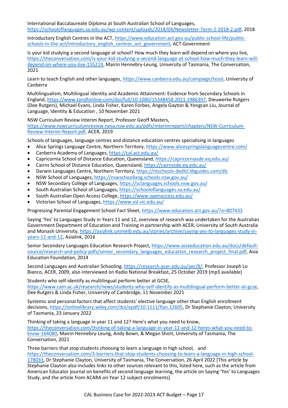International Baccalaureate Diploma at South Australian School of Languages, [https://schooloflanguages.sa.edu.au/wp-content/uploads/2018/04/Newsletter-Term-2-2018-2.pdf,](https://schooloflanguages.sa.edu.au/wp-content/uploads/2018/04/Newsletter-Term-2-2018-2.pdf) 2018

Introductory English Centres in the ACT[, https://www.education.act.gov.au/public-school-life/public](https://www.education.act.gov.au/public-school-life/public-schools-in-the-act/introductory_english_centres_act_government)[schools-in-the-act/introductory\\_english\\_centres\\_act\\_government,](https://www.education.act.gov.au/public-school-life/public-schools-in-the-act/introductory_english_centres_act_government) ACT Government

Is your kid studying a second language at school? How much they learn will depend on where you live, [https://theconversation.com/is-your-kid-studying-a-second-language-at-school-how-much-they-learn-will](https://theconversation.com/is-your-kid-studying-a-second-language-at-school-how-much-they-learn-will-depend-on-where-you-live-155219)[depend-on-where-you-live-155219,](https://theconversation.com/is-your-kid-studying-a-second-language-at-school-how-much-they-learn-will-depend-on-where-you-live-155219) Mairin Hennebry-Leung, University of Tasmania, The Conversation, 2021

Learn to teach English and other languages, [https://www.canberra.edu.au/campaign/tesol,](https://www.canberra.edu.au/campaign/tesol) University of Canberra

Multilingualism, Multilingual Identity and Academic Attainment: Evidence from Secondary Schools in England[, https://www.tandfonline.com/doi/full/10.1080/15348458.2021.1986397,](https://www.tandfonline.com/doi/full/10.1080/15348458.2021.1986397) Dieuwerke Rutgers (Dee Rutgers), Michael Evans, Linda Fisher, Karen Forbes, Angela Gayton & Yongcan Liu, Journal of Language, Identity & Education , 10 November 2021

NSW Curriculum Review Interim Report, Professor Geoff Masters, [https://www.nswcurriculumreview.nesa.nsw.edu.au/pdfs/interimreport/chapters/NSW-Curriculum-](https://www.nswcurriculumreview.nesa.nsw.edu.au/pdfs/interimreport/chapters/NSW-Curriculum-Review-Interim-Report.pdf)[Review-Interim-Report.pdf,](https://www.nswcurriculumreview.nesa.nsw.edu.au/pdfs/interimreport/chapters/NSW-Curriculum-Review-Interim-Report.pdf) ACER, 2019

Schools of languages, language centres and distance education centres specialising in languages

- Alice Springs Language Centre, Northern Territory,<https://www.alicespringslanguagecentre.com/>
- Canberra Academy of Languages[, https://cal.act.edu.au/](https://cal.act.edu.au/)
- Capricornia School of Distance Education, Queensland,<https://capricorniasde.eq.edu.au/>
- Cairns School of Distance Education, Queensland,<https://cairnssde.eq.edu.au/>
- Darwin Languages Centre, Northern Territory,<https://ntschools-dedlcl.libguides.com/dlc>
- NSW School of Languages,<https://nswschoollang.schools.nsw.gov.au/>
- NSW Secondary College of Languages, <https://sclanguages.schools.nsw.gov.au/>
- South Australian School of Languages,<https://schooloflanguages.sa.edu.au/>
- South Australian Open Access College,<https://www.openaccess.edu.au/>
- Victorian School of Languages,<https://www.vsl.vic.edu.au/>

Progressing Parental Engagement School Fact Sheet[, https://www.education.act.gov.au/?a=807433](https://www.education.act.gov.au/?a=807433)

Saying 'Yes' to Languages Study in Years 11 and 12, overview of research was undertaken for the Australian Government Department of Education and Training in partnership with ACER, University of South Australia and Monash University, [https://asialink.unimelb.edu.au/stories/archive/saying-yes-to-languages-study-in](https://asialink.unimelb.edu.au/stories/archive/saying-yes-to-languages-study-in-years-11-and-12)[years-11-and-12,](https://asialink.unimelb.edu.au/stories/archive/saying-yes-to-languages-study-in-years-11-and-12) Asialink, 2016

Senior Secondary Languages Education Research Project, [https://www.asiaeducation.edu.au/docs/default](https://www.asiaeducation.edu.au/docs/default-source/research-and-policy-pdfs/senior_secondary_languages_education_research_project_final.pdf)[source/research-and-policy-pdfs/senior\\_secondary\\_languages\\_education\\_research\\_project\\_final.pdf,](https://www.asiaeducation.edu.au/docs/default-source/research-and-policy-pdfs/senior_secondary_languages_education_research_project_final.pdf) Asia Education Foundation, 2014

Second Languages and Australian Schooling[, https://research.acer.edu.au/aer/8/,](https://research.acer.edu.au/aer/8/) Professor Joseph Lo Bianco, ACER, 2009, also interviewed on Radio National Breakfast, 25 October 2019 (mp3 available)

Students who self-identify as multilingual perform better at GCSE, [https://www.cam.ac.uk/research/news/students-who-self-identify-as-multilingual-perform-better-at-gcse,](https://www.cam.ac.uk/research/news/students-who-self-identify-as-multilingual-perform-better-at-gcse) Dee Rutgers & Linda Fisher, University of Cambridge, 11 November 2021

Systemic and personal factors that affect students' elective language other than English enrollment decisions, [https://onlinelibrary.wiley.com/doi/epdf/10.1111/flan.12605,](https://onlinelibrary.wiley.com/doi/epdf/10.1111/flan.12605) Dr Stephanie Clayton, University of Tasmania, 23 January 2022

Thinking of taking a language in year 11 and 12? Here's what you need to know, [https://theconversation.com/thinking-of-taking-a-language-in-year-11-and-12-heres-what-you-need-to](https://theconversation.com/thinking-of-taking-a-language-in-year-11-and-12-heres-what-you-need-to-know-164080)[know-164080,](https://theconversation.com/thinking-of-taking-a-language-in-year-11-and-12-heres-what-you-need-to-know-164080) Mairin Hennebry-Leung, Andy Bown, & Megan Short, University of Tasmania, The Conversation, 2021

Three barriers that stop students choosing to learn a language in high school, and

[https://theconversation.com/3-barriers-that-stop-students-choosing-to-learn-a-language-in-high-school-](https://theconversation.com/3-barriers-that-stop-students-choosing-to-learn-a-language-in-high-school-178033)[178033,](https://theconversation.com/3-barriers-that-stop-students-choosing-to-learn-a-language-in-high-school-178033) Dr Stephanie Clayton, University of Tasmania, The Conversation, 26 April 2022 [This article by Stephanie Clayton also includes links to other sources relevant to this, listed here, such as the article from American Educator journal on benefits of second language learning, the article on Saying 'Yes' to Languages Study, and the article from ACARA on Year 12 subject enrolments]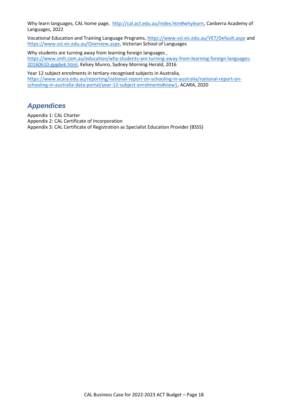Why learn languages, CAL home page, [http://cal.act.edu.au/index.htm#whylearn,](http://cal.act.edu.au/index.htm#whylearn) Canberra Academy of Languages, 2022

Vocational Education and Training Language Programs,<https://www.vsl.vic.edu.au/VET/Default.aspx> and [https://www.vsl.vic.edu.au/Overview.aspx,](https://www.vsl.vic.edu.au/Overview.aspx) Victorian School of Languages

Why students are turning away from learning foreign languages, [https://www.smh.com.au/education/why-students-are-turning-away-from-learning-foreign-languages-](https://www.smh.com.au/education/why-students-are-turning-away-from-learning-foreign-languages-20160610-gpg6ek.html)[20160610-gpg6ek.html,](https://www.smh.com.au/education/why-students-are-turning-away-from-learning-foreign-languages-20160610-gpg6ek.html) Kelsey Munro, Sydney Morning Herald, 2016

Year 12 subject enrolments in tertiary-recognised subjects in Australia, [https://www.acara.edu.au/reporting/national-report-on-schooling-in-australia/national-report-on](https://www.acara.edu.au/reporting/national-report-on-schooling-in-australia/national-report-on-schooling-in-australia-data-portal/year-12-subject-enrolments#view1)[schooling-in-australia-data-portal/year-12-subject-enrolments#view1,](https://www.acara.edu.au/reporting/national-report-on-schooling-in-australia/national-report-on-schooling-in-australia-data-portal/year-12-subject-enrolments#view1) ACARA, 2020

## <span id="page-17-0"></span>*Appendices*

Appendix 1: CAL Charter Appendix 2: CAL Certificate of Incorporation Appendix 3: CAL Certificate of Registration as Specialist Education Provider (BSSS)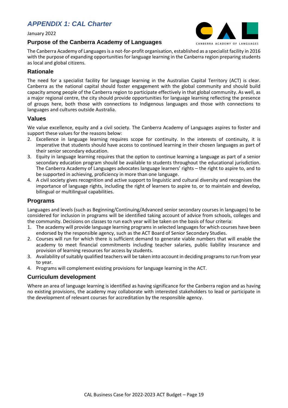# <span id="page-18-0"></span>*APPENDIX 1: CAL Charter*

January 2022

# CANBERRA ACADEMY OF LANGUAGES

#### **Purpose of the Canberra Academy of Languages**

The Canberra Academy of Languages is a not-for-profit organisation, established as a specialist facility in 2016 with the purpose of expanding opportunities for language learning in the Canberra region preparing students as local and global citizens.

## **Rationale**

The need for a specialist facility for language learning in the Australian Capital Territory (ACT) is clear. Canberra as the national capital should foster engagement with the global community and should build capacity among people of the Canberra region to participate effectively in that global community. As well, as a major regional centre, the city should provide opportunities for language learning reflecting the presence of groups here, both those with connections to Indigenous languages and those with connections to languages and cultures outside Australia.

## **Values**

We value excellence, equity and a civil society. The Canberra Academy of Languages aspires to foster and support these values for the reasons below:

- 2. Excellence in language learning requires scope for continuity. In the interests of continuity, it is imperative that students should have access to continued learning in their chosen languages as part of their senior secondary education.
- 3. Equity in language learning requires that the option to continue learning a language as part of a senior secondary education program should be available to students throughout the educational jurisdiction. The Canberra Academy of Languages advocates language learners' rights – the right to aspire to, and to be supported in achieving, proficiency in more than one language.
- 4. A civil society gives recognition and active support to linguistic and cultural diversity and recognises the importance of language rights, including the right of learners to aspire to, or to maintain and develop, bilingual or multilingual capabilities.

## **Programs**

Languages and levels (such as Beginning/Continuing/Advanced senior secondary courses in languages) to be considered for inclusion in programs will be identified taking account of advice from schools, colleges and the community. Decisions on classes to run each year will be taken on the basis of four criteria:

- 1. The academy will provide language learning programs in selected languages for which courses have been endorsed by the responsible agency, such as the ACT Board of Senior Secondary Studies.
- 2. Courses will run for which there is sufficient demand to generate viable numbers that will enable the academy to meet financial commitments including teacher salaries, public liability insurance and provision of learning resources for access by students.
- 3. Availability of suitably qualified teachers will be taken into account in deciding programs to run from year to year.
- 4. Programs will complement existing provisions for language learning in the ACT.

## **Curriculum development**

Where an area of language learning is identified as having significance for the Canberra region and as having no existing provisions, the academy may collaborate with interested stakeholders to lead or participate in the development of relevant courses for accreditation by the responsible agency.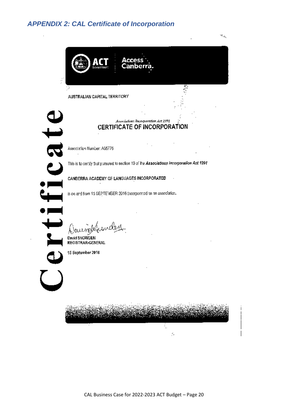# <span id="page-19-0"></span>*APPENDIX 2: CAL Certificate of Incorporation*



CAL Business Case for 2022-2023 ACT Budget – Page 20